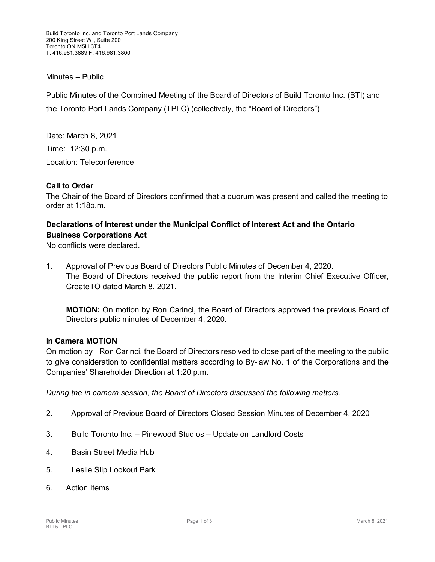Build Toronto Inc. and Toronto Port Lands Company 200 King Street W., Suite 200 Toronto ON M5H 3T4 T: 416.981.3889 F: 416.981.3800

#### Minutes – Public

Public Minutes of the Combined Meeting of the Board of Directors of Build Toronto Inc. (BTI) and the Toronto Port Lands Company (TPLC) (collectively, the "Board of Directors")

Date: March 8, 2021

Time: 12:30 p.m.

Location: Teleconference

### **Call to Order**

The Chair of the Board of Directors confirmed that a quorum was present and called the meeting to order at 1:18p.m.

## **Declarations of Interest under the Municipal Conflict of Interest Act and the Ontario Business Corporations Act**

No conflicts were declared.

1. Approval of Previous Board of Directors Public Minutes of December 4, 2020. The Board of Directors received the public report from the Interim Chief Executive Officer, CreateTO dated March 8. 2021.

**MOTION:** On motion by Ron Carinci, the Board of Directors approved the previous Board of Directors public minutes of December 4, 2020.

### **In Camera MOTION**

On motion by Ron Carinci, the Board of Directors resolved to close part of the meeting to the public to give consideration to confidential matters according to By-law No. 1 of the Corporations and the Companies' Shareholder Direction at 1:20 p.m.

*During the in camera session, the Board of Directors discussed the following matters.*

- 2. Approval of Previous Board of Directors Closed Session Minutes of December 4, 2020
- 3. Build Toronto Inc. Pinewood Studios Update on Landlord Costs
- 4. Basin Street Media Hub
- 5. Leslie Slip Lookout Park
- 6. Action Items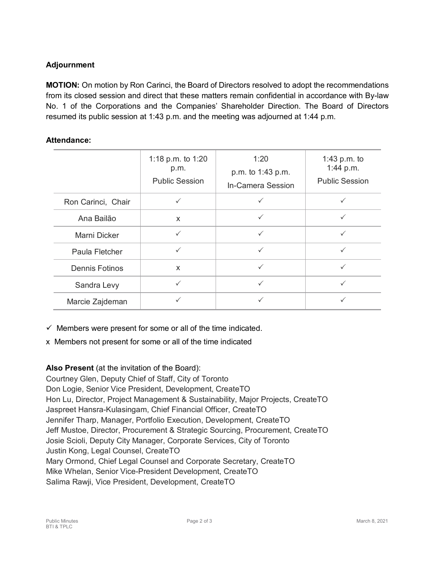# **Adjournment**

**MOTION:** On motion by Ron Carinci, the Board of Directors resolved to adopt the recommendations from its closed session and direct that these matters remain confidential in accordance with By-law No. 1 of the Corporations and the Companies' Shareholder Direction. The Board of Directors resumed its public session at 1:43 p.m. and the meeting was adjourned at 1:44 p.m.

### **Attendance:**

|                       | 1:18 p.m. to 1:20<br>p.m.<br><b>Public Session</b> | 1:20<br>p.m. to 1:43 p.m.<br>In-Camera Session | 1:43 p.m. to<br>1:44 p.m.<br><b>Public Session</b> |
|-----------------------|----------------------------------------------------|------------------------------------------------|----------------------------------------------------|
| Ron Carinci, Chair    |                                                    |                                                |                                                    |
| Ana Bailão            | $\boldsymbol{\mathsf{x}}$                          |                                                | $\checkmark$                                       |
| Marni Dicker          | $\checkmark$                                       |                                                |                                                    |
| Paula Fletcher        | $\checkmark$                                       | $\checkmark$                                   |                                                    |
| <b>Dennis Fotinos</b> | $\mathsf{x}$                                       | $\checkmark$                                   |                                                    |
| Sandra Levy           |                                                    | ✓                                              |                                                    |
| Marcie Zajdeman       |                                                    |                                                |                                                    |

 $\checkmark$  Members were present for some or all of the time indicated.

x Members not present for some or all of the time indicated

## **Also Present** (at the invitation of the Board):

Courtney Glen, Deputy Chief of Staff, City of Toronto Don Logie, Senior Vice President, Development, CreateTO Hon Lu, Director, Project Management & Sustainability, Major Projects, CreateTO Jaspreet Hansra-Kulasingam, Chief Financial Officer, CreateTO Jennifer Tharp, Manager, Portfolio Execution, Development, CreateTO Jeff Mustoe, Director, Procurement & Strategic Sourcing, Procurement, CreateTO Josie Scioli, Deputy City Manager, Corporate Services, City of Toronto Justin Kong, Legal Counsel, CreateTO Mary Ormond, Chief Legal Counsel and Corporate Secretary, CreateTO Mike Whelan, Senior Vice-President Development, CreateTO Salima Rawji, Vice President, Development, CreateTO